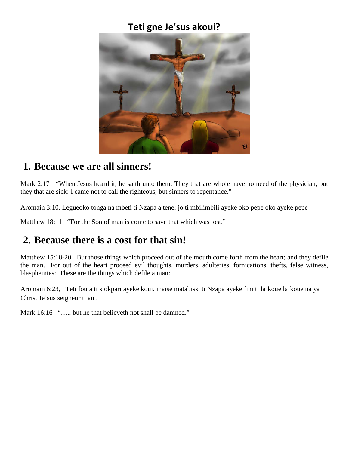### **Teti gne Je'sus akoui?**



### **1. Because we are all sinners!**

Mark 2:17 "When Jesus heard it, he saith unto them, They that are whole have no need of the physician, but they that are sick: I came not to call the righteous, but sinners to repentance."

Aromain 3:10, Legueoko tonga na mbeti ti Nzapa a tene: jo ti mbilimbili ayeke oko pepe oko ayeke pepe

Matthew 18:11 "For the Son of man is come to save that which was lost."

## **2. Because there is a cost for that sin!**

Matthew 15:18-20 But those things which proceed out of the mouth come forth from the heart; and they defile the man. For out of the heart proceed evil thoughts, murders, adulteries, fornications, thefts, false witness, blasphemies: These are the things which defile a man:

Aromain 6:23, Teti fouta ti siokpari ayeke koui. maise matabissi ti Nzapa ayeke fini ti la'koue la'koue na ya Christ Je'sus seigneur ti ani.

Mark 16:16 "..... but he that believeth not shall be damned."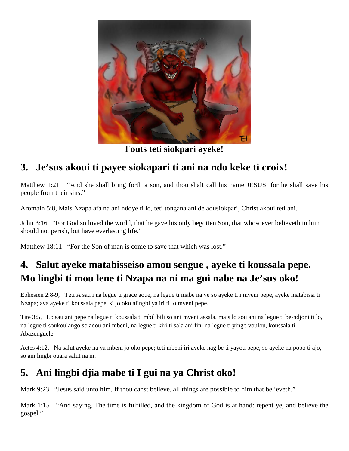

**Fouts teti siokpari ayeke!**

# **3. Je'sus akoui ti payee siokapari ti ani na ndo keke ti croix!**

Matthew 1:21 "And she shall bring forth a son, and thou shalt call his name JESUS: for he shall save his people from their sins."

Aromain 5:8, Mais Nzapa afa na ani ndoye ti lo, teti tongana ani de aousiokpari, Christ akoui teti ani.

John 3:16 "For God so loved the world, that he gave his only begotten Son, that whosoever believeth in him should not perish, but have everlasting life."

Matthew 18:11 "For the Son of man is come to save that which was lost."

# **4. Salut ayeke matabisseiso amou sengue , ayeke ti koussala pepe. Mo lingbi ti mou lene ti Nzapa na ni ma gui nabe na Je'sus oko!**

Ephesien 2:8-9, Teti A sau i na legue ti grace aoue, na legue ti mabe na ye so ayeke ti i mveni pepe, ayeke matabissi ti Nzapa; ava ayeke ti koussala pepe, si jo oko alingbi ya iri ti lo mveni pepe.

Tite 3:5, Lo sau ani pepe na legue ti koussala ti mbilibili so ani mveni assala, mais lo sou ani na legue ti be-ndjoni ti lo, na legue ti soukoulango so adou ani mbeni, na legue ti kiri ti sala ani fini na legue ti yingo voulou, koussala ti Abazenguele.

Actes 4:12, Na salut ayeke na ya mbeni jo oko pepe; teti mbeni iri ayeke nag be ti yayou pepe, so ayeke na popo ti ajo, so ani lingbi ouara salut na ni.

## **5. Ani lingbi djia mabe ti I gui na ya Christ oko!**

Mark 9:23 "Jesus said unto him, If thou canst believe, all things are possible to him that believeth."

Mark 1:15 "And saying, The time is fulfilled, and the kingdom of God is at hand: repent ye, and believe the gospel."